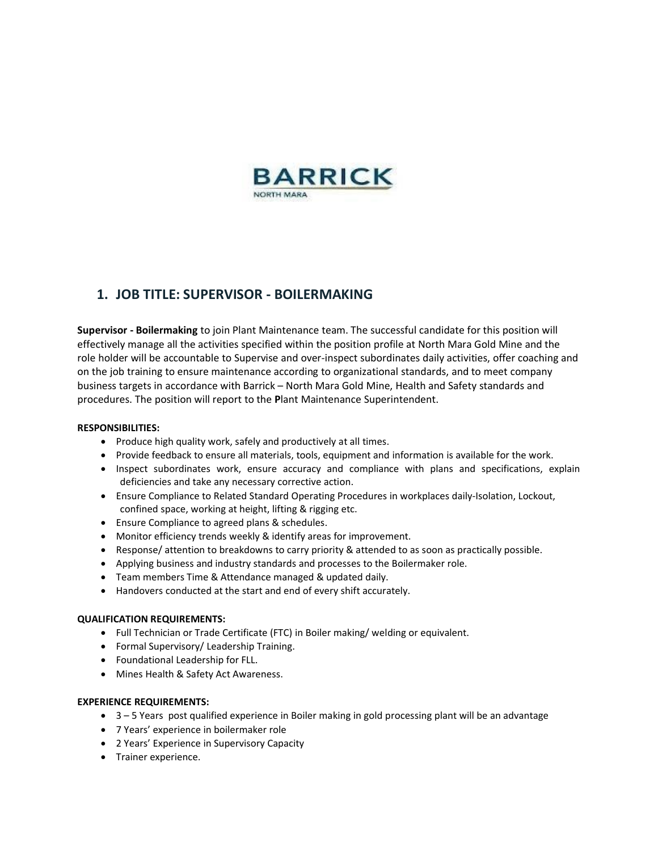

## **1. JOB TITLE: SUPERVISOR - BOILERMAKING**

**Supervisor - Boilermaking** to join Plant Maintenance team. The successful candidate for this position will effectively manage all the activities specified within the position profile at North Mara Gold Mine and the role holder will be accountable to Supervise and over-inspect subordinates daily activities, offer coaching and on the job training to ensure maintenance according to organizational standards, and to meet company business targets in accordance with Barrick – North Mara Gold Mine, Health and Safety standards and procedures. The position will report to the **P**lant Maintenance Superintendent.

### **RESPONSIBILITIES:**

- Produce high quality work, safely and productively at all times.
- Provide feedback to ensure all materials, tools, equipment and information is available for the work.
- Inspect subordinates work, ensure accuracy and compliance with plans and specifications, explain deficiencies and take any necessary corrective action.
- Ensure Compliance to Related Standard Operating Procedures in workplaces daily-Isolation, Lockout, confined space, working at height, lifting & rigging etc.
- Ensure Compliance to agreed plans & schedules.
- Monitor efficiency trends weekly & identify areas for improvement.
- Response/ attention to breakdowns to carry priority & attended to as soon as practically possible.
- Applying business and industry standards and processes to the Boilermaker role.
- Team members Time & Attendance managed & updated daily.
- Handovers conducted at the start and end of every shift accurately.

#### **QUALIFICATION REQUIREMENTS:**

- Full Technician or Trade Certificate (FTC) in Boiler making/ welding or equivalent.
- Formal Supervisory/ Leadership Training.
- Foundational Leadership for FLL.
- Mines Health & Safety Act Awareness.

#### **EXPERIENCE REQUIREMENTS:**

- 3 5 Years post qualified experience in Boiler making in gold processing plant will be an advantage
- 7 Years' experience in boilermaker role
- 2 Years' Experience in Supervisory Capacity
- Trainer experience.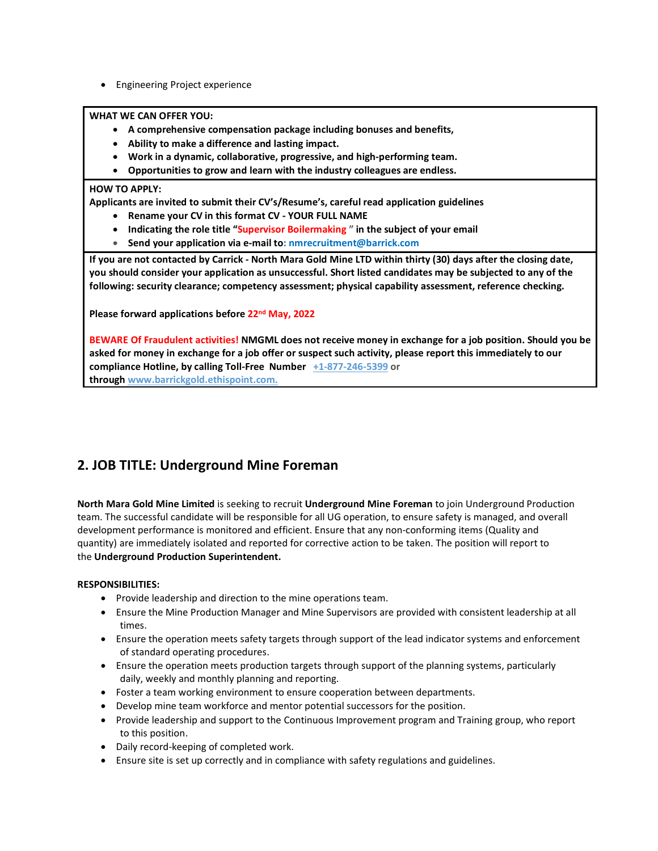• Engineering Project experience

**WHAT WE CAN OFFER YOU:**

- **A comprehensive compensation package including bonuses and benefits,**
- **Ability to make a difference and lasting impact.**
- **Work in a dynamic, collaborative, progressive, and high-performing team.**
- **Opportunities to grow and learn with the industry colleagues are endless.**

#### **HOW TO APPLY:**

**Applicants are invited to submit their CV's/Resume's, careful read application guidelines**

- **Rename your CV in this format CV - YOUR FULL NAME**
- **Indicating the role title "Supervisor Boilermaking " in the subject of your email**
- **Send your application via e-mail to: nmrecruitment@barrick.com**

If you are not contacted by Carrick - North Mara Gold Mine LTD within thirty (30) days after the closing date, you should consider your application as unsuccessful. Short listed candidates may be subjected to any of the **following: security clearance; competency assessment; physical capability assessment, reference checking.**

**Please forward applications before 22nd May, 2022**

BEWARE Of Fraudulent activities! NMGML does not receive money in exchange for a job position. Should you be asked for money in exchange for a job offer or suspect such activity, please report this immediately to our **compliance Hotline, by calling Toll-Free Number +1-877-246-5399 or through www.barrickgold.ethispoint.com.**

# **2. JOB TITLE: Underground Mine Foreman**

**North Mara Gold Mine Limited** is seeking to recruit **Underground Mine Foreman** to join Underground Production team. The successful candidate will be responsible for all UG operation, to ensure safety is managed, and overall development performance is monitored and efficient. Ensure that any non-conforming items (Quality and quantity) are immediately isolated and reported for corrective action to be taken. The position will report to the **Underground Production Superintendent.**

### **RESPONSIBILITIES:**

- Provide leadership and direction to the mine operations team.
- Ensure the Mine Production Manager and Mine Supervisors are provided with consistent leadership at all times.
- Ensure the operation meets safety targets through support of the lead indicator systems and enforcement of standard operating procedures.
- Ensure the operation meets production targets through support of the planning systems, particularly daily, weekly and monthly planning and reporting.
- Foster a team working environment to ensure cooperation between departments.
- Develop mine team workforce and mentor potential successors for the position.
- Provide leadership and support to the Continuous Improvement program and Training group, who report to this position.
- Daily record-keeping of completed work.
- Ensure site is set up correctly and in compliance with safety regulations and guidelines.